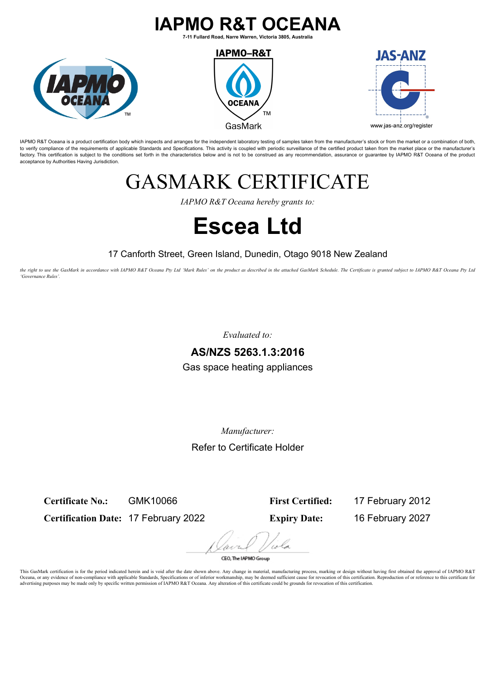### **IAPMO R&T OCEANA**

**7-11 Fullard Road, Narre Warren, Victoria 3805, Australia**







IAPMO R&T Oceana is a product certification body which inspects and arranges for the independent laboratory testing of samples taken from the manufacturer's stock or from the market or a combination of both, to verify compliance of the requirements of applicable Standards and Specifications. This activity is coupled with periodic surveillance of the certified product taken from the market place or the manufacturer's factory. This certification is subject to the conditions set forth in the characteristics below and is not to be construed as any recommendation, assurance or quarantee by IAPMO R&T Oceana of the product acceptance by Authorities Having Jurisdiction.

## GASMARK CERTIFICATE

*IAPMO R&T Oceana hereby grants to:*

# **Escea Ltd**

### 17 Canforth Street, Green Island, Dunedin, Otago 9018 New Zealand

*the right to use the GasMark in accordance with IAPMO R&T Oceana Pty Ltd 'Mark Rules' on the product as described in the attached GasMark Schedule. The Certificate is granted subject to IAPMO R&T Oceana Pty Ltd 'Governance Rules'.*

*Evaluated to:*

### **AS/NZS 5263.1.3:2016**

Gas space heating appliances

*Manufacturer:*

Refer to Certificate Holder

**Certificate No.:** GMK10066

**Certification Date:** 17 February 2022

**First Certified:** 17 February 2012 **Expiry Date:** 16 February 2027

CEO. The IAPMO Group

This GasMark certification is for the period indicated herein and is void after the date shown above. Any change in material, manufacturing process, marking or design without having first obtained the approval of IAPMO R&T Oceana, or any evidence of non-compliance with applicable Standards, Specifications or of inferior workmanship, may be deemed sufficient cause for revocation of this certification. Reproduction of or reference to this cert advertising purposes may be made only by specific written permission of IAPMO R&T Oceana. Any alteration of this certificate could be grounds for revocation of this certification.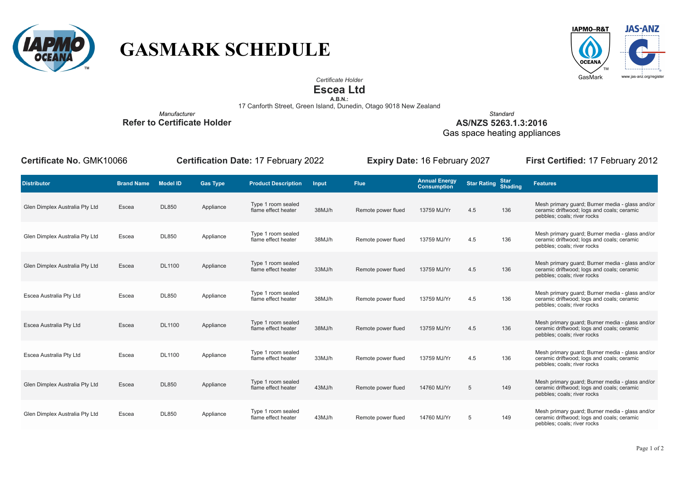

## **GASMARK SCHEDULE**



*Certificate Holder*

**Escea Ltd**

**A.B.N.:**<br>17 Canforth Street, Green Island, Dunedin, Otago 9018 New Zealand

*Manufacturer* **Refer to Certificate Holder**

*Standard* **AS/NZS 5263.1.3:2016**

Gas space heating appliances

**Certificate No.** GMK10066 **Certification Date:** 17 February 2022 **Expiry Date:** 16 February 2027 **First Certified:** 17 February 2012

| <b>Distributor</b>             | <b>Brand Name</b> | Model ID      | <b>Gas Type</b> | <b>Product Description</b>                | Input  | <b>Flue</b>        | <b>Annual Energy</b><br><b>Consumption</b> | Star Rating Shading |     | <b>Features</b>                                                                                                              |
|--------------------------------|-------------------|---------------|-----------------|-------------------------------------------|--------|--------------------|--------------------------------------------|---------------------|-----|------------------------------------------------------------------------------------------------------------------------------|
| Glen Dimplex Australia Pty Ltd | Escea             | <b>DL850</b>  | Appliance       | Type 1 room sealed<br>flame effect heater | 38MJ/h | Remote power flued | 13759 MJ/Yr                                | 4.5                 | 136 | Mesh primary quard; Burner media - glass and/or<br>ceramic driftwood; logs and coals; ceramic<br>pebbles; coals; river rocks |
| Glen Dimplex Australia Pty Ltd | Escea             | <b>DL850</b>  | Appliance       | Type 1 room sealed<br>flame effect heater | 38MJ/h | Remote power flued | 13759 MJ/Yr                                | 4.5                 | 136 | Mesh primary guard; Burner media - glass and/or<br>ceramic driftwood; logs and coals; ceramic<br>pebbles; coals; river rocks |
| Glen Dimplex Australia Pty Ltd | Escea             | <b>DL1100</b> | Appliance       | Type 1 room sealed<br>flame effect heater | 33MJ/h | Remote power flued | 13759 MJ/Yr                                | 4.5                 | 136 | Mesh primary guard; Burner media - glass and/or<br>ceramic driftwood; logs and coals; ceramic<br>pebbles; coals; river rocks |
| Escea Australia Pty Ltd        | Escea             | <b>DL850</b>  | Appliance       | Type 1 room sealed<br>flame effect heater | 38MJ/h | Remote power flued | 13759 MJ/Yr                                | 4.5                 | 136 | Mesh primary guard; Burner media - glass and/or<br>ceramic driftwood; logs and coals; ceramic<br>pebbles; coals; river rocks |
| Escea Australia Pty Ltd        | Escea             | <b>DL1100</b> | Appliance       | Type 1 room sealed<br>flame effect heater | 38MJ/h | Remote power flued | 13759 MJ/Yr                                | 4.5                 | 136 | Mesh primary quard; Burner media - glass and/or<br>ceramic driftwood; logs and coals; ceramic<br>pebbles; coals; river rocks |
| Escea Australia Pty Ltd        | Escea             | <b>DL1100</b> | Appliance       | Type 1 room sealed<br>flame effect heater | 33MJ/h | Remote power flued | 13759 MJ/Yr                                | 4.5                 | 136 | Mesh primary quard; Burner media - glass and/or<br>ceramic driftwood; logs and coals; ceramic<br>pebbles; coals; river rocks |
| Glen Dimplex Australia Pty Ltd | Escea             | <b>DL850</b>  | Appliance       | Type 1 room sealed<br>flame effect heater | 43MJ/h | Remote power flued | 14760 MJ/Yr                                | 5                   | 149 | Mesh primary quard; Burner media - glass and/or<br>ceramic driftwood; logs and coals; ceramic<br>pebbles; coals; river rocks |
| Glen Dimplex Australia Pty Ltd | Escea             | <b>DL850</b>  | Appliance       | Type 1 room sealed<br>flame effect heater | 43MJ/h | Remote power flued | 14760 MJ/Yr                                | 5                   | 149 | Mesh primary guard; Burner media - glass and/or<br>ceramic driftwood; logs and coals; ceramic<br>pebbles; coals; river rocks |